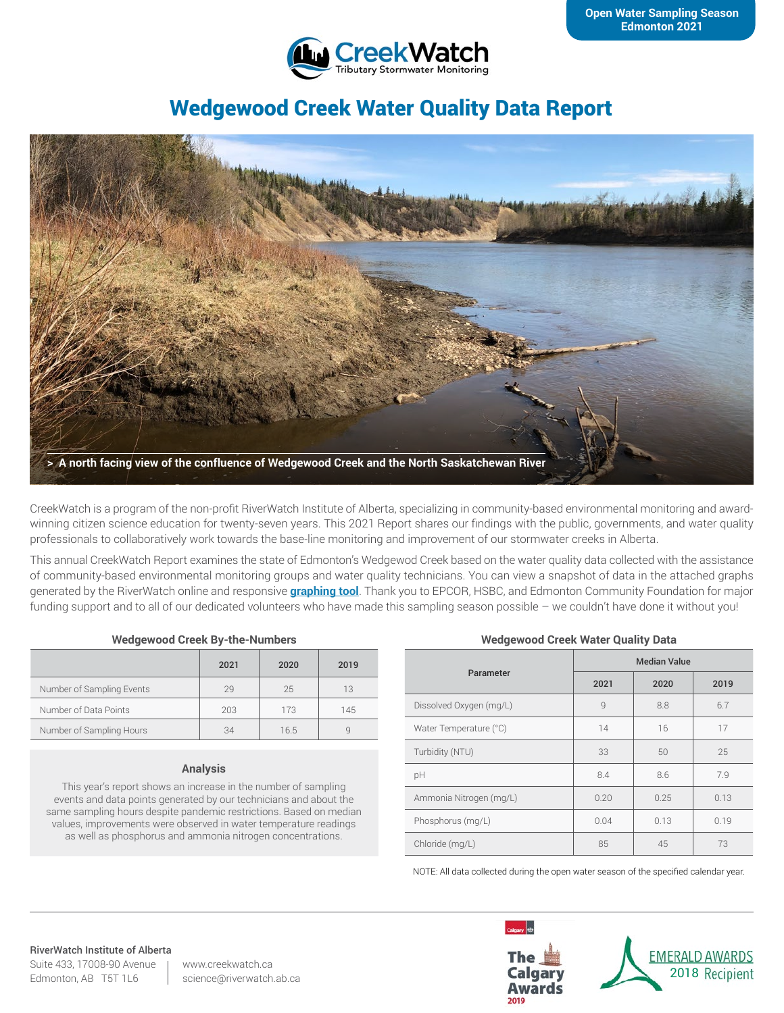

# Wedgewood Creek Water Quality Data Report



CreekWatch is a program of the non-profit RiverWatch Institute of Alberta, specializing in community-based environmental monitoring and awardwinning citizen science education for twenty-seven years. This 2021 Report shares our findings with the public, governments, and water quality professionals to collaboratively work towards the base-line monitoring and improvement of our stormwater creeks in Alberta.

This annual CreekWatch Report examines the state of Edmonton's Wedgewod Creek based on the water quality data collected with the assistance of community-based environmental monitoring groups and water quality technicians. You can view a snapshot of data in the attached graphs generated by the RiverWatch online and responsive **[graphing tool](http://www.riverwatch.ab.ca/index.php/science/data)**. Thank you to EPCOR, HSBC, and Edmonton Community Foundation for major funding support and to all of our dedicated volunteers who have made this sampling season possible – we couldn't have done it without you!

#### **Wedgewood Creek By-the-Numbers**

|                           | 2021 | 2020 | 2019 |
|---------------------------|------|------|------|
| Number of Sampling Events | 29   | 25   | 13   |
| Number of Data Points     | 203  | 173  | 145  |
| Number of Sampling Hours  | 34   | 16.5 |      |

#### **Analysis**

This year's report shows an increase in the number of sampling events and data points generated by our technicians and about the same sampling hours despite pandemic restrictions. Based on median values, improvements were observed in water temperature readings as well as phosphorus and ammonia nitrogen concentrations.

#### **Wedgewood Creek Water Quality Data**

| Parameter               | <b>Median Value</b> |      |      |
|-------------------------|---------------------|------|------|
|                         | 2021                | 2020 | 2019 |
| Dissolved Oxygen (mg/L) | $\overline{9}$      | 8.8  | 6.7  |
| Water Temperature (°C)  | 14                  | 16   | 17   |
| Turbidity (NTU)         | 33                  | 50   | 25   |
| pH                      | 8.4                 | 8.6  | 7.9  |
| Ammonia Nitrogen (mg/L) | 0.20                | 0.25 | 0.13 |
| Phosphorus (mg/L)       | 0.04                | 0.13 | 0.19 |
| Chloride (mg/L)         | 85                  | 45   | 73   |

NOTE: All data collected during the open water season of the specified calendar year.

# RiverWatch Institute of Alberta

Suite 433, 17008-90 Avenue Edmonton, AB T5T 1L6

www.creekwatch.ca science@riverwatch.ab.ca